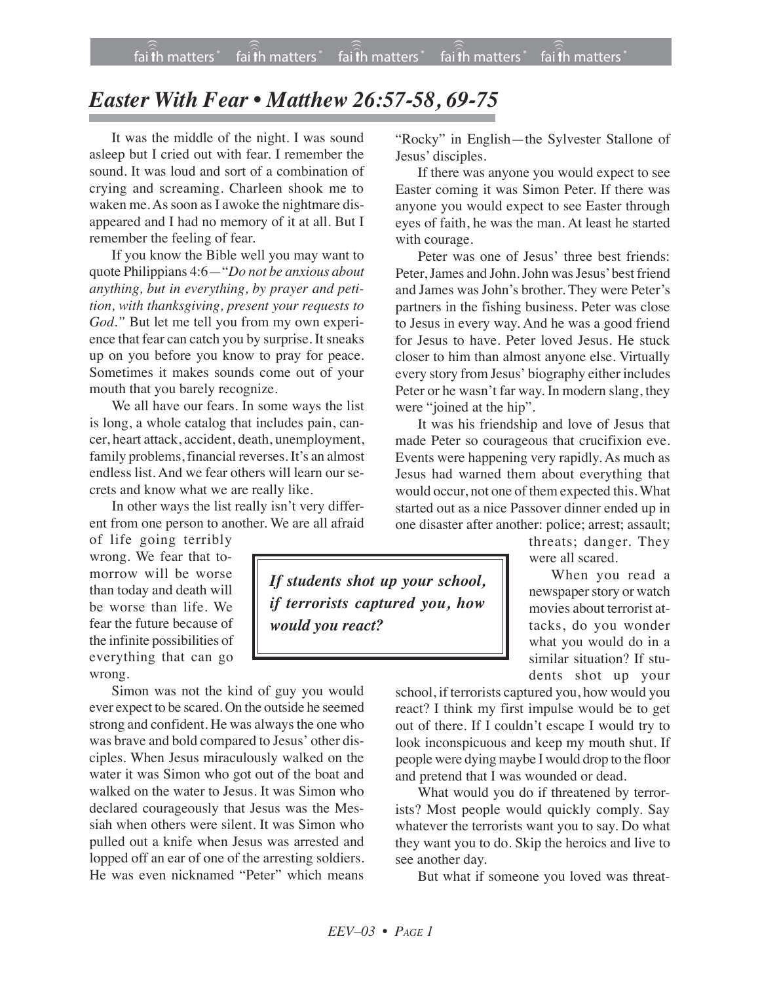## *Easter With Fear • Matthew 26:57-58, 69-75*

It was the middle of the night. I was sound asleep but I cried out with fear. I remember the sound. It was loud and sort of a combination of crying and screaming. Charleen shook me to waken me. As soon as I awoke the nightmare disappeared and I had no memory of it at all. But I remember the feeling of fear.

If you know the Bible well you may want to quote Philippians 4:6—"*Do not be anxious about anything, but in everything, by prayer and petition, with thanksgiving, present your requests to God."* But let me tell you from my own experience that fear can catch you by surprise. It sneaks up on you before you know to pray for peace. Sometimes it makes sounds come out of your mouth that you barely recognize.

We all have our fears. In some ways the list is long, a whole catalog that includes pain, cancer, heart attack, accident, death, unemployment, family problems, financial reverses. It's an almost endless list. And we fear others will learn our secrets and know what we are really like.

In other ways the list really isn't very different from one person to another. We are all afraid

of life going terribly wrong. We fear that tomorrow will be worse than today and death will be worse than life. We fear the future because of the infinite possibilities of everything that can go wrong.

Simon was not the kind of guy you would ever expect to be scared. On the outside he seemed strong and confident. He was always the one who was brave and bold compared to Jesus' other disciples. When Jesus miraculously walked on the water it was Simon who got out of the boat and walked on the water to Jesus. It was Simon who declared courageously that Jesus was the Messiah when others were silent. It was Simon who pulled out a knife when Jesus was arrested and lopped off an ear of one of the arresting soldiers. He was even nicknamed "Peter" which means

"Rocky" in English—the Sylvester Stallone of Jesus' disciples.

If there was anyone you would expect to see Easter coming it was Simon Peter. If there was anyone you would expect to see Easter through eyes of faith, he was the man. At least he started with courage.

Peter was one of Jesus' three best friends: Peter, James and John. John was Jesus' best friend and James was John's brother. They were Peter's partners in the fishing business. Peter was close to Jesus in every way. And he was a good friend for Jesus to have. Peter loved Jesus. He stuck closer to him than almost anyone else. Virtually every story from Jesus' biography either includes Peter or he wasn't far way. In modern slang, they were "joined at the hip".

It was his friendship and love of Jesus that made Peter so courageous that crucifixion eve. Events were happening very rapidly. As much as Jesus had warned them about everything that would occur, not one of them expected this. What started out as a nice Passover dinner ended up in one disaster after another: police; arrest; assault;

> threats; danger. They were all scared.

When you read a newspaper story or watch movies about terrorist attacks, do you wonder what you would do in a similar situation? If students shot up your

school, if terrorists captured you, how would you react? I think my first impulse would be to get out of there. If I couldn't escape I would try to look inconspicuous and keep my mouth shut. If people were dying maybe I would drop to the floor and pretend that I was wounded or dead.

What would you do if threatened by terrorists? Most people would quickly comply. Say whatever the terrorists want you to say. Do what they want you to do. Skip the heroics and live to see another day.

But what if someone you loved was threat-

*If students shot up your school, if terrorists captured you, how would you react?*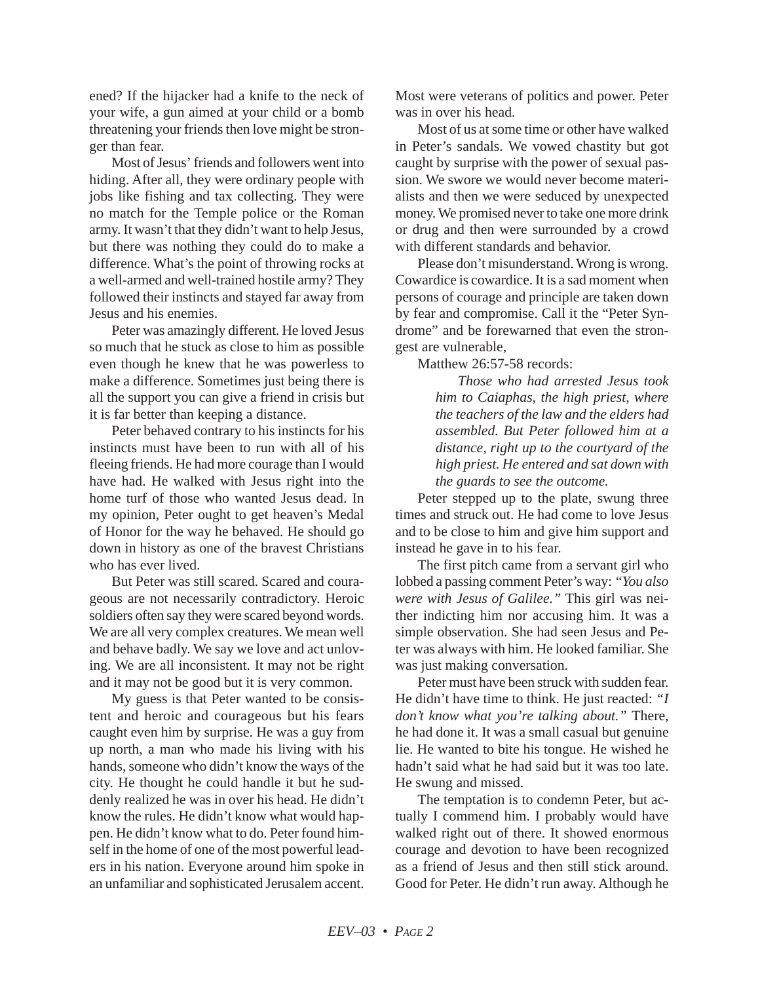ened? If the hijacker had a knife to the neck of your wife, a gun aimed at your child or a bomb threatening your friends then love might be stronger than fear.

Most of Jesus' friends and followers went into hiding. After all, they were ordinary people with jobs like fishing and tax collecting. They were no match for the Temple police or the Roman army. It wasn't that they didn't want to help Jesus, but there was nothing they could do to make a difference. What's the point of throwing rocks at a well-armed and well-trained hostile army? They followed their instincts and stayed far away from Jesus and his enemies.

Peter was amazingly different. He loved Jesus so much that he stuck as close to him as possible even though he knew that he was powerless to make a difference. Sometimes just being there is all the support you can give a friend in crisis but it is far better than keeping a distance.

Peter behaved contrary to his instincts for his instincts must have been to run with all of his fleeing friends. He had more courage than I would have had. He walked with Jesus right into the home turf of those who wanted Jesus dead. In my opinion, Peter ought to get heaven's Medal of Honor for the way he behaved. He should go down in history as one of the bravest Christians who has ever lived.

But Peter was still scared. Scared and courageous are not necessarily contradictory. Heroic soldiers often say they were scared beyond words. We are all very complex creatures. We mean well and behave badly. We say we love and act unloving. We are all inconsistent. It may not be right and it may not be good but it is very common.

My guess is that Peter wanted to be consistent and heroic and courageous but his fears caught even him by surprise. He was a guy from up north, a man who made his living with his hands, someone who didn't know the ways of the city. He thought he could handle it but he suddenly realized he was in over his head. He didn't know the rules. He didn't know what would happen. He didn't know what to do. Peter found himself in the home of one of the most powerful leaders in his nation. Everyone around him spoke in an unfamiliar and sophisticated Jerusalem accent. Most were veterans of politics and power. Peter was in over his head.

Most of us at some time or other have walked in Peter's sandals. We vowed chastity but got caught by surprise with the power of sexual passion. We swore we would never become materialists and then we were seduced by unexpected money. We promised never to take one more drink or drug and then were surrounded by a crowd with different standards and behavior.

Please don't misunderstand. Wrong is wrong. Cowardice is cowardice. It is a sad moment when persons of courage and principle are taken down by fear and compromise. Call it the "Peter Syndrome" and be forewarned that even the strongest are vulnerable,

Matthew 26:57-58 records:

*Those who had arrested Jesus took him to Caiaphas, the high priest, where the teachers of the law and the elders had assembled. But Peter followed him at a distance, right up to the courtyard of the high priest. He entered and sat down with the guards to see the outcome.*

Peter stepped up to the plate, swung three times and struck out. He had come to love Jesus and to be close to him and give him support and instead he gave in to his fear.

The first pitch came from a servant girl who lobbed a passing comment Peter's way: *"You also were with Jesus of Galilee."* This girl was neither indicting him nor accusing him. It was a simple observation. She had seen Jesus and Peter was always with him. He looked familiar. She was just making conversation.

Peter must have been struck with sudden fear. He didn't have time to think. He just reacted: *"I don't know what you're talking about."* There, he had done it. It was a small casual but genuine lie. He wanted to bite his tongue. He wished he hadn't said what he had said but it was too late. He swung and missed.

The temptation is to condemn Peter, but actually I commend him. I probably would have walked right out of there. It showed enormous courage and devotion to have been recognized as a friend of Jesus and then still stick around. Good for Peter. He didn't run away. Although he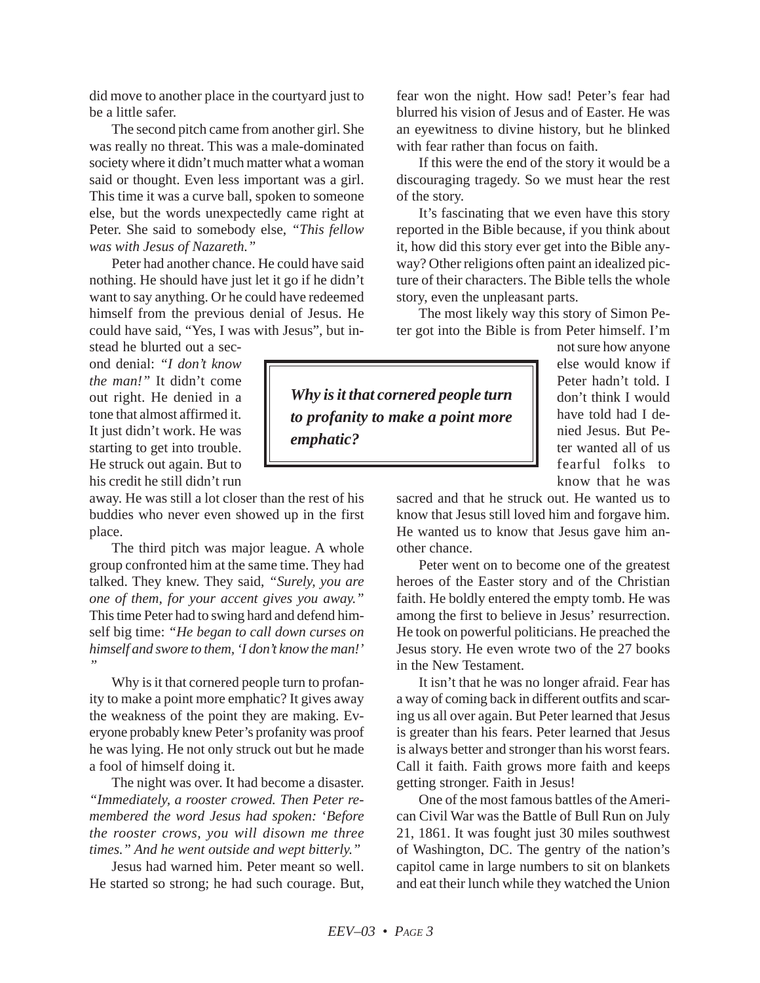did move to another place in the courtyard just to be a little safer.

The second pitch came from another girl. She was really no threat. This was a male-dominated society where it didn't much matter what a woman said or thought. Even less important was a girl. This time it was a curve ball, spoken to someone else, but the words unexpectedly came right at Peter. She said to somebody else, *"This fellow was with Jesus of Nazareth."*

Peter had another chance. He could have said nothing. He should have just let it go if he didn't want to say anything. Or he could have redeemed himself from the previous denial of Jesus. He could have said, "Yes, I was with Jesus", but in-

stead he blurted out a second denial: *"I don't know the man!"* It didn't come out right. He denied in a tone that almost affirmed it. It just didn't work. He was starting to get into trouble. He struck out again. But to his credit he still didn't run

away. He was still a lot closer than the rest of his buddies who never even showed up in the first place.

The third pitch was major league. A whole group confronted him at the same time. They had talked. They knew. They said, *"Surely, you are one of them, for your accent gives you away."* This time Peter had to swing hard and defend himself big time: *"He began to call down curses on himself and swore to them, 'I don't know the man!' "*

Why is it that cornered people turn to profanity to make a point more emphatic? It gives away the weakness of the point they are making. Everyone probably knew Peter's profanity was proof he was lying. He not only struck out but he made a fool of himself doing it.

The night was over. It had become a disaster. *"Immediately, a rooster crowed. Then Peter remembered the word Jesus had spoken:* '*Before the rooster crows, you will disown me three times." And he went outside and wept bitterly."*

Jesus had warned him. Peter meant so well. He started so strong; he had such courage. But, fear won the night. How sad! Peter's fear had blurred his vision of Jesus and of Easter. He was an eyewitness to divine history, but he blinked with fear rather than focus on faith.

If this were the end of the story it would be a discouraging tragedy. So we must hear the rest of the story.

It's fascinating that we even have this story reported in the Bible because, if you think about it, how did this story ever get into the Bible anyway? Other religions often paint an idealized picture of their characters. The Bible tells the whole story, even the unpleasant parts.

The most likely way this story of Simon Peter got into the Bible is from Peter himself. I'm

*Why is it that cornered people turn to profanity to make a point more emphatic?*

not sure how anyone else would know if Peter hadn't told. I don't think I would have told had I denied Jesus. But Peter wanted all of us fearful folks to know that he was

sacred and that he struck out. He wanted us to know that Jesus still loved him and forgave him. He wanted us to know that Jesus gave him another chance.

Peter went on to become one of the greatest heroes of the Easter story and of the Christian faith. He boldly entered the empty tomb. He was among the first to believe in Jesus' resurrection. He took on powerful politicians. He preached the Jesus story. He even wrote two of the 27 books in the New Testament.

It isn't that he was no longer afraid. Fear has a way of coming back in different outfits and scaring us all over again. But Peter learned that Jesus is greater than his fears. Peter learned that Jesus is always better and stronger than his worst fears. Call it faith. Faith grows more faith and keeps getting stronger. Faith in Jesus!

One of the most famous battles of the American Civil War was the Battle of Bull Run on July 21, 1861. It was fought just 30 miles southwest of Washington, DC. The gentry of the nation's capitol came in large numbers to sit on blankets and eat their lunch while they watched the Union